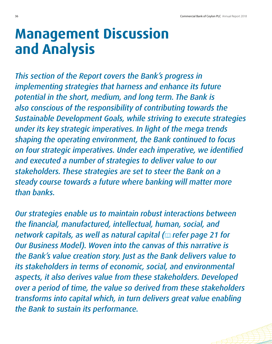## **Management Discussion and Analysis**

*This section of the Report covers the Bank's progress in implementing strategies that harness and enhance its future potential in the short, medium, and long term. The Bank is also conscious of the responsibility of contributing towards the Sustainable Development Goals, while striving to execute strategies under its key strategic imperatives. In light of the mega trends shaping the operating environment, the Bank continued to focus on four strategic imperatives. Under each imperative, we identified and executed a number of strategies to deliver value to our stakeholders. These strategies are set to steer the Bank on a steady course towards a future where banking will matter more than banks.* 

*Our strategies enable us to maintain robust interactions between the financial, manufactured, intellectual, human, social, and network capitals, as well as natural capital ( refer page 21 for Our Business Model). Woven into the canvas of this narrative is the Bank's value creation story. Just as the Bank delivers value to its stakeholders in terms of economic, social, and environmental aspects, it also derives value from these stakeholders. Developed over a period of time, the value so derived from these stakeholders transforms into capital which, in turn delivers great value enabling the Bank to sustain its performance.*